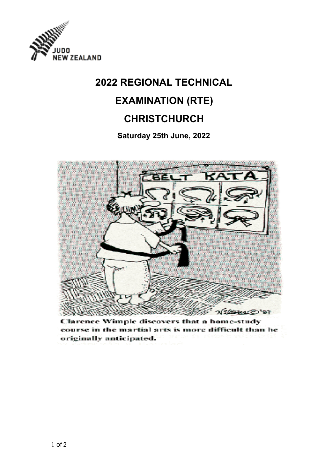

# **2022 REGIONAL TECHNICAL EXAMINATION (RTE) CHRISTCHURCH**

## **Saturday 25th June, 2022**



Clarence Wimple discovers that a home-study course in the martial arts is more difficult than he originally anticipated.